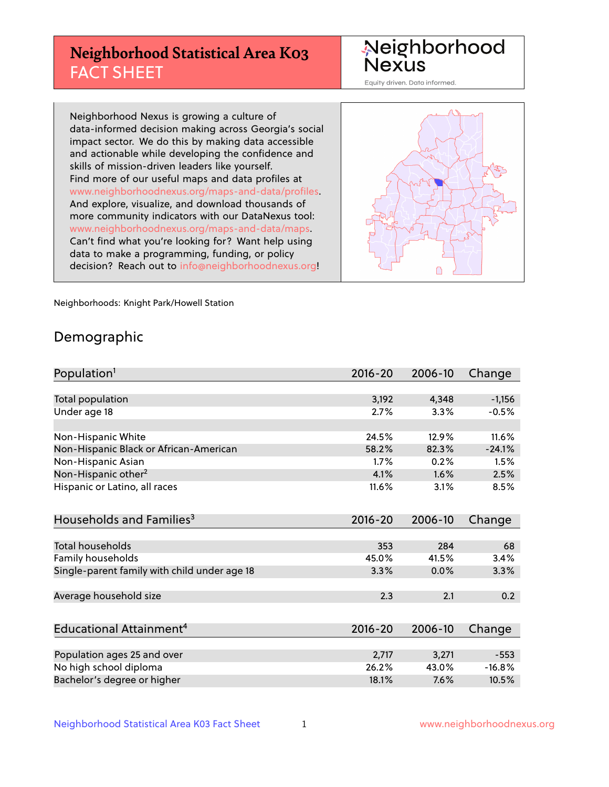# **Neighborhood Statistical Area K03** FACT SHEET

Neighborhood Nexus

Equity driven. Data informed.

Neighborhood Nexus is growing a culture of data-informed decision making across Georgia's social impact sector. We do this by making data accessible and actionable while developing the confidence and skills of mission-driven leaders like yourself. Find more of our useful maps and data profiles at www.neighborhoodnexus.org/maps-and-data/profiles. And explore, visualize, and download thousands of more community indicators with our DataNexus tool: www.neighborhoodnexus.org/maps-and-data/maps. Can't find what you're looking for? Want help using data to make a programming, funding, or policy decision? Reach out to [info@neighborhoodnexus.org!](mailto:info@neighborhoodnexus.org)



Neighborhoods: Knight Park/Howell Station

### Demographic

| Population <sup>1</sup>                      | $2016 - 20$ | 2006-10 | Change   |
|----------------------------------------------|-------------|---------|----------|
|                                              |             |         |          |
| Total population                             | 3,192       | 4,348   | $-1,156$ |
| Under age 18                                 | 2.7%        | 3.3%    | $-0.5%$  |
|                                              |             |         |          |
| Non-Hispanic White                           | 24.5%       | 12.9%   | 11.6%    |
| Non-Hispanic Black or African-American       | 58.2%       | 82.3%   | $-24.1%$ |
| Non-Hispanic Asian                           | 1.7%        | 0.2%    | 1.5%     |
| Non-Hispanic other <sup>2</sup>              | 4.1%        | 1.6%    | 2.5%     |
| Hispanic or Latino, all races                | 11.6%       | 3.1%    | 8.5%     |
|                                              |             |         |          |
| Households and Families <sup>3</sup>         | $2016 - 20$ | 2006-10 | Change   |
|                                              |             |         |          |
| Total households                             | 353         | 284     | 68       |
| Family households                            | 45.0%       | 41.5%   | 3.4%     |
| Single-parent family with child under age 18 | 3.3%        | 0.0%    | 3.3%     |
|                                              |             |         |          |
| Average household size                       | 2.3         | 2.1     | 0.2      |
|                                              |             |         |          |
| Educational Attainment <sup>4</sup>          | 2016-20     | 2006-10 | Change   |
|                                              |             |         |          |
| Population ages 25 and over                  | 2,717       | 3,271   | $-553$   |
| No high school diploma                       | 26.2%       | 43.0%   | $-16.8%$ |
| Bachelor's degree or higher                  | 18.1%       | 7.6%    | 10.5%    |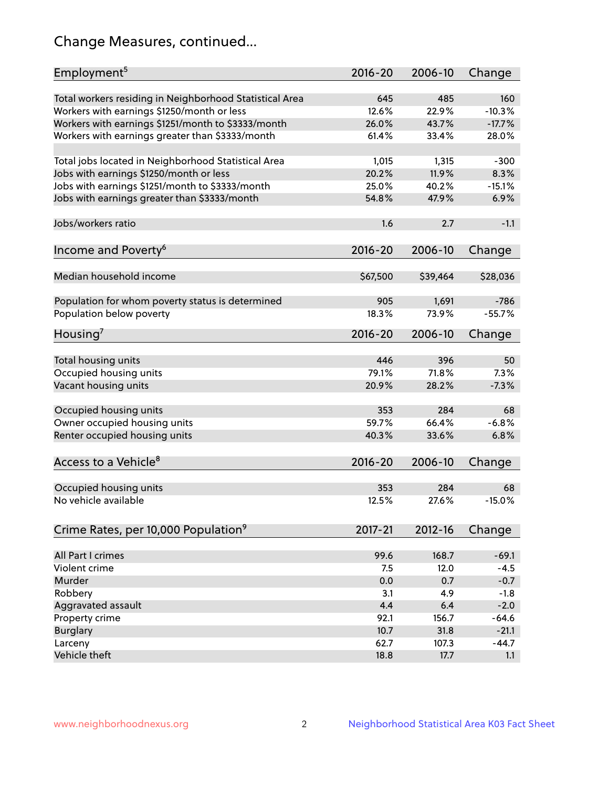# Change Measures, continued...

| Employment <sup>5</sup>                                 | $2016 - 20$  | 2006-10      | Change          |
|---------------------------------------------------------|--------------|--------------|-----------------|
|                                                         |              |              |                 |
| Total workers residing in Neighborhood Statistical Area | 645<br>12.6% | 485<br>22.9% | 160<br>$-10.3%$ |
| Workers with earnings \$1250/month or less              | 26.0%        | 43.7%        | $-17.7%$        |
| Workers with earnings \$1251/month to \$3333/month      | 61.4%        | 33.4%        | 28.0%           |
| Workers with earnings greater than \$3333/month         |              |              |                 |
| Total jobs located in Neighborhood Statistical Area     | 1,015        | 1,315        | $-300$          |
| Jobs with earnings \$1250/month or less                 | 20.2%        | 11.9%        | 8.3%            |
| Jobs with earnings \$1251/month to \$3333/month         | 25.0%        | 40.2%        | $-15.1%$        |
| Jobs with earnings greater than \$3333/month            | 54.8%        | 47.9%        | 6.9%            |
|                                                         |              |              |                 |
| Jobs/workers ratio                                      | 1.6          | 2.7          | $-1.1$          |
|                                                         |              |              |                 |
| Income and Poverty <sup>6</sup>                         | 2016-20      | 2006-10      | Change          |
|                                                         |              |              |                 |
| Median household income                                 | \$67,500     | \$39,464     | \$28,036        |
|                                                         |              |              |                 |
| Population for whom poverty status is determined        | 905          | 1,691        | $-786$          |
| Population below poverty                                | 18.3%        | 73.9%        | $-55.7%$        |
| Housing'                                                | $2016 - 20$  | 2006-10      | Change          |
|                                                         |              |              |                 |
| Total housing units                                     | 446          | 396          | 50              |
| Occupied housing units                                  | 79.1%        | 71.8%        | 7.3%            |
| Vacant housing units                                    | 20.9%        | 28.2%        | $-7.3%$         |
|                                                         |              |              |                 |
| Occupied housing units                                  | 353          | 284          | 68              |
| Owner occupied housing units                            | 59.7%        | 66.4%        | $-6.8%$         |
| Renter occupied housing units                           | 40.3%        | 33.6%        | 6.8%            |
|                                                         |              |              |                 |
| Access to a Vehicle <sup>8</sup>                        | $2016 - 20$  | 2006-10      | Change          |
|                                                         |              |              |                 |
| Occupied housing units                                  | 353          | 284          | 68              |
| No vehicle available                                    | 12.5%        | 27.6%        | $-15.0%$        |
|                                                         |              |              |                 |
| Crime Rates, per 10,000 Population <sup>9</sup>         | 2017-21      | 2012-16      | Change          |
| All Part I crimes                                       | 99.6         | 168.7        | $-69.1$         |
| Violent crime                                           | 7.5          | 12.0         | $-4.5$          |
| Murder                                                  | 0.0          | 0.7          | $-0.7$          |
| Robbery                                                 | 3.1          | 4.9          | $-1.8$          |
| Aggravated assault                                      | 4.4          | 6.4          | $-2.0$          |
| Property crime                                          | 92.1         | 156.7        | $-64.6$         |
| <b>Burglary</b>                                         | 10.7         | 31.8         | $-21.1$         |
| Larceny                                                 | 62.7         | 107.3        | $-44.7$         |
| Vehicle theft                                           | 18.8         | 17.7         | 1.1             |
|                                                         |              |              |                 |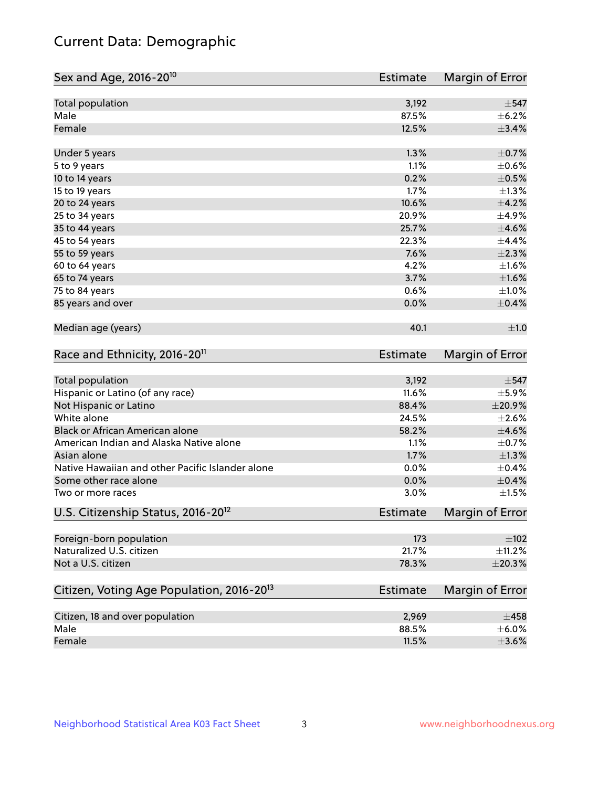# Current Data: Demographic

| Sex and Age, 2016-20 <sup>10</sup>                    | <b>Estimate</b> | Margin of Error |
|-------------------------------------------------------|-----------------|-----------------|
| Total population                                      | 3,192           | $\pm$ 547       |
| Male                                                  | 87.5%           | $\pm$ 6.2%      |
| Female                                                | 12.5%           | ±3.4%           |
| Under 5 years                                         | 1.3%            | $\pm$ 0.7%      |
| 5 to 9 years                                          | 1.1%            | $\pm$ 0.6%      |
| 10 to 14 years                                        | 0.2%            | $\pm$ 0.5%      |
| 15 to 19 years                                        | 1.7%            | $\pm 1.3\%$     |
| 20 to 24 years                                        | 10.6%           | $\pm$ 4.2%      |
| 25 to 34 years                                        | 20.9%           | $\pm$ 4.9%      |
| 35 to 44 years                                        | 25.7%           | $\pm 4.6\%$     |
| 45 to 54 years                                        | 22.3%           | ±4.4%           |
| 55 to 59 years                                        | 7.6%            | $\pm 2.3\%$     |
| 60 to 64 years                                        | 4.2%            | $\pm 1.6\%$     |
| 65 to 74 years                                        | 3.7%            | $\pm1.6\%$      |
| 75 to 84 years                                        | 0.6%            | $\pm 1.0\%$     |
| 85 years and over                                     | 0.0%            | $\pm$ 0.4%      |
| Median age (years)                                    | 40.1            | ±1.0            |
| Race and Ethnicity, 2016-20 <sup>11</sup>             | <b>Estimate</b> | Margin of Error |
| Total population                                      | 3,192           | $\pm$ 547       |
| Hispanic or Latino (of any race)                      | 11.6%           | $\pm$ 5.9%      |
| Not Hispanic or Latino                                | 88.4%           | ±20.9%          |
| White alone                                           | 24.5%           | $\pm 2.6\%$     |
| Black or African American alone                       | 58.2%           | $\pm 4.6\%$     |
| American Indian and Alaska Native alone               | 1.1%            | $\pm$ 0.7%      |
| Asian alone                                           | 1.7%            | $\pm 1.3\%$     |
| Native Hawaiian and other Pacific Islander alone      | 0.0%            | $\pm$ 0.4%      |
| Some other race alone                                 | 0.0%            | $\pm$ 0.4%      |
| Two or more races                                     | 3.0%            | $\pm1.5\%$      |
| U.S. Citizenship Status, 2016-20 <sup>12</sup>        | <b>Estimate</b> | Margin of Error |
| Foreign-born population                               | 173             | $\pm 102$       |
| Naturalized U.S. citizen                              | 21.7%           | $\pm$ 11.2%     |
| Not a U.S. citizen                                    | 78.3%           | $\pm 20.3\%$    |
| Citizen, Voting Age Population, 2016-20 <sup>13</sup> | Estimate        | Margin of Error |
| Citizen, 18 and over population                       | 2,969           | $\pm 458$       |
| Male                                                  | 88.5%           | $\pm$ 6.0%      |
| Female                                                | 11.5%           | $\pm 3.6\%$     |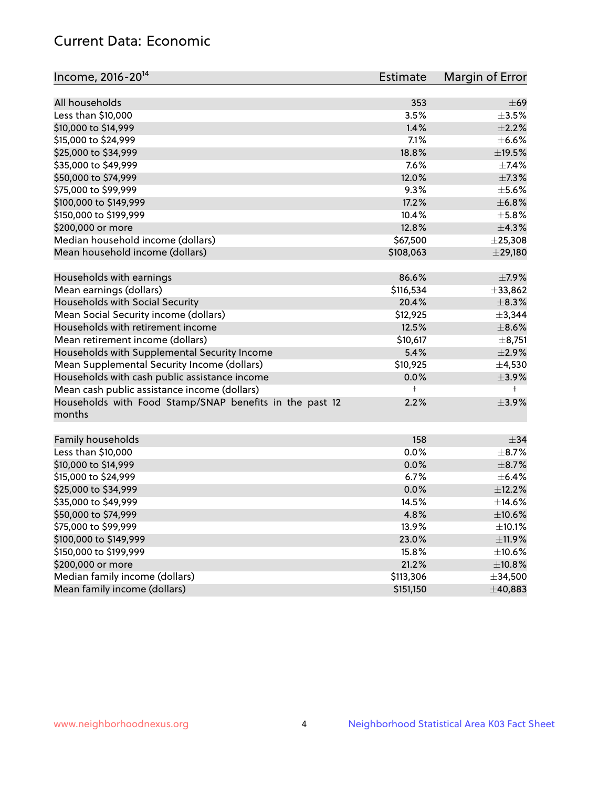# Current Data: Economic

| Income, 2016-20 <sup>14</sup>                           | Estimate   | Margin of Error |
|---------------------------------------------------------|------------|-----------------|
|                                                         |            |                 |
| All households                                          | 353        | $\pm 69$        |
| Less than \$10,000                                      | 3.5%       | $\pm 3.5\%$     |
| \$10,000 to \$14,999                                    | 1.4%       | $\pm 2.2\%$     |
| \$15,000 to \$24,999                                    | 7.1%       | $\pm$ 6.6%      |
| \$25,000 to \$34,999                                    | 18.8%      | $\pm$ 19.5%     |
| \$35,000 to \$49,999                                    | 7.6%       | ±7.4%           |
| \$50,000 to \$74,999                                    | 12.0%      | $\pm$ 7.3%      |
| \$75,000 to \$99,999                                    | 9.3%       | $\pm$ 5.6%      |
| \$100,000 to \$149,999                                  | 17.2%      | ±6.8%           |
| \$150,000 to \$199,999                                  | 10.4%      | $\pm$ 5.8%      |
| \$200,000 or more                                       | 12.8%      | ±4.3%           |
| Median household income (dollars)                       | \$67,500   | ± 25,308        |
| Mean household income (dollars)                         | \$108,063  | $±$ 29,180      |
| Households with earnings                                | 86.6%      | ±7.9%           |
| Mean earnings (dollars)                                 | \$116,534  | ±33,862         |
| Households with Social Security                         | 20.4%      | $\pm$ 8.3%      |
| Mean Social Security income (dollars)                   | \$12,925   | ±3,344          |
| Households with retirement income                       | 12.5%      | $\pm$ 8.6%      |
| Mean retirement income (dollars)                        | \$10,617   | ±8,751          |
| Households with Supplemental Security Income            | 5.4%       | $\pm 2.9\%$     |
| Mean Supplemental Security Income (dollars)             | \$10,925   | $\pm$ 4,530     |
| Households with cash public assistance income           | 0.0%       | $\pm$ 3.9%      |
| Mean cash public assistance income (dollars)            | $\ddagger$ | $^+$            |
| Households with Food Stamp/SNAP benefits in the past 12 | 2.2%       | $\pm$ 3.9%      |
| months                                                  |            |                 |
|                                                         | 158        | $\pm$ 34        |
| Family households                                       | 0.0%       |                 |
| Less than \$10,000                                      |            | $\pm$ 8.7%      |
| \$10,000 to \$14,999                                    | 0.0%       | $\pm$ 8.7%      |
| \$15,000 to \$24,999                                    | 6.7%       | $\pm$ 6.4%      |
| \$25,000 to \$34,999                                    | 0.0%       | ±12.2%          |
| \$35,000 to \$49,999                                    | 14.5%      | ±14.6%          |
| \$50,000 to \$74,999                                    | 4.8%       | $\pm 10.6\%$    |
| \$75,000 to \$99,999                                    | 13.9%      | $\pm$ 10.1%     |
| \$100,000 to \$149,999                                  | 23.0%      | ±11.9%          |
| \$150,000 to \$199,999                                  | 15.8%      | ±10.6%          |
| \$200,000 or more                                       | 21.2%      | ±10.8%          |
| Median family income (dollars)                          | \$113,306  | ±34,500         |
| Mean family income (dollars)                            | \$151,150  | ±40,883         |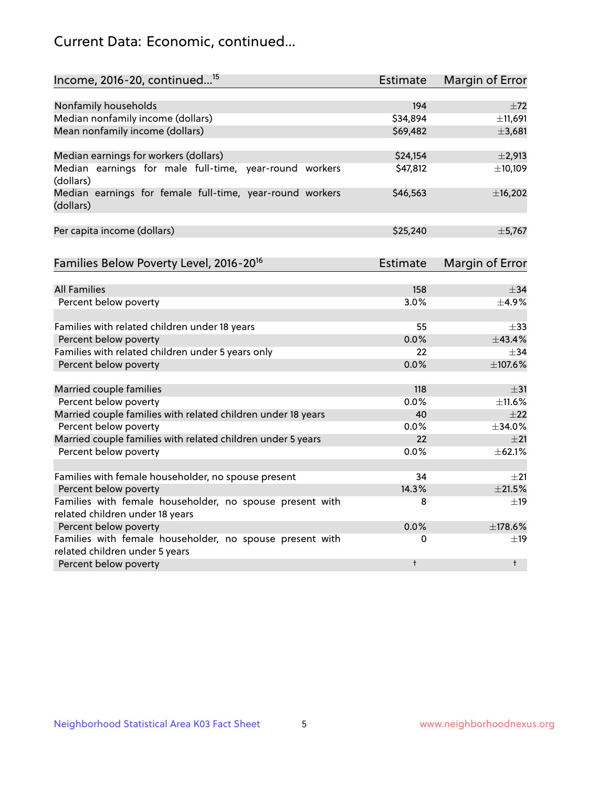# Current Data: Economic, continued...

| Income, 2016-20, continued <sup>15</sup>                                                    | <b>Estimate</b> | <b>Margin of Error</b> |
|---------------------------------------------------------------------------------------------|-----------------|------------------------|
|                                                                                             |                 |                        |
| Nonfamily households                                                                        | 194             | ±72                    |
| Median nonfamily income (dollars)                                                           | \$34,894        | ±11,691                |
| Mean nonfamily income (dollars)                                                             | \$69,482        | ±3,681                 |
| Median earnings for workers (dollars)                                                       | \$24,154        | $\pm 2,913$            |
| Median earnings for male full-time, year-round workers<br>(dollars)                         | \$47,812        | ±10,109                |
| Median earnings for female full-time, year-round workers<br>(dollars)                       | \$46,563        | ±16,202                |
| Per capita income (dollars)                                                                 | \$25,240        | ±5,767                 |
| Families Below Poverty Level, 2016-20 <sup>16</sup>                                         | <b>Estimate</b> | <b>Margin of Error</b> |
|                                                                                             |                 |                        |
| <b>All Families</b>                                                                         | 158             | $\pm$ 34               |
| Percent below poverty                                                                       | 3.0%            | $+4.9%$                |
| Families with related children under 18 years                                               | 55              | $\pm$ 33               |
| Percent below poverty                                                                       | 0.0%            | ±43.4%                 |
| Families with related children under 5 years only                                           | 22              | $\pm$ 34               |
| Percent below poverty                                                                       | 0.0%            | ±107.6%                |
| Married couple families                                                                     | 118             | $\pm$ 31               |
| Percent below poverty                                                                       | 0.0%            | ±11.6%                 |
| Married couple families with related children under 18 years                                | 40              | $\pm 22$               |
| Percent below poverty                                                                       | $0.0\%$         | ±34.0%                 |
| Married couple families with related children under 5 years                                 | 22              | ±21                    |
| Percent below poverty                                                                       | $0.0\%$         | ±62.1%                 |
|                                                                                             | 34              | ±21                    |
| Families with female householder, no spouse present                                         | 14.3%           | $\pm 21.5\%$           |
| Percent below poverty                                                                       |                 |                        |
| Families with female householder, no spouse present with<br>related children under 18 years | 8               | $\pm$ 19               |
| Percent below poverty                                                                       | 0.0%            | ±178.6%                |
| Families with female householder, no spouse present with                                    | 0               | $\pm$ 19               |
| related children under 5 years                                                              |                 |                        |
| Percent below poverty                                                                       | $\ddagger$      | $^{\dagger}$           |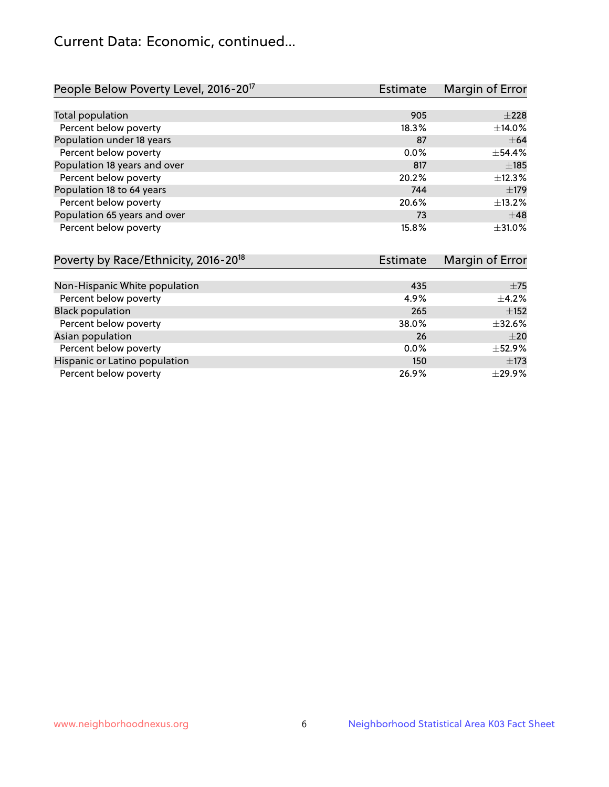# Current Data: Economic, continued...

| People Below Poverty Level, 2016-20 <sup>17</sup> | <b>Estimate</b> | Margin of Error |
|---------------------------------------------------|-----------------|-----------------|
|                                                   |                 |                 |
| Total population                                  | 905             | $\pm 228$       |
| Percent below poverty                             | 18.3%           | ±14.0%          |
| Population under 18 years                         | 87              | $\pm 64$        |
| Percent below poverty                             | $0.0\%$         | ±54.4%          |
| Population 18 years and over                      | 817             | ±185            |
| Percent below poverty                             | 20.2%           | $+12.3%$        |
| Population 18 to 64 years                         | 744             | $\pm$ 179       |
| Percent below poverty                             | 20.6%           | ±13.2%          |
| Population 65 years and over                      | 73              | $\pm$ 48        |
| Percent below poverty                             | 15.8%           | ±31.0%          |

| Poverty by Race/Ethnicity, 2016-20 <sup>18</sup> | Estimate |             |
|--------------------------------------------------|----------|-------------|
|                                                  |          |             |
| Non-Hispanic White population                    | 435      | ±75         |
| Percent below poverty                            | 4.9%     | $\pm$ 4.2%  |
| <b>Black population</b>                          | 265      | $\pm$ 152   |
| Percent below poverty                            | 38.0%    | $\pm$ 32.6% |
| Asian population                                 | 26       | $\pm 20$    |
| Percent below poverty                            | $0.0\%$  | $\pm$ 52.9% |
| Hispanic or Latino population                    | 150      | $\pm$ 173   |
| Percent below poverty                            | 26.9%    | $\pm$ 29.9% |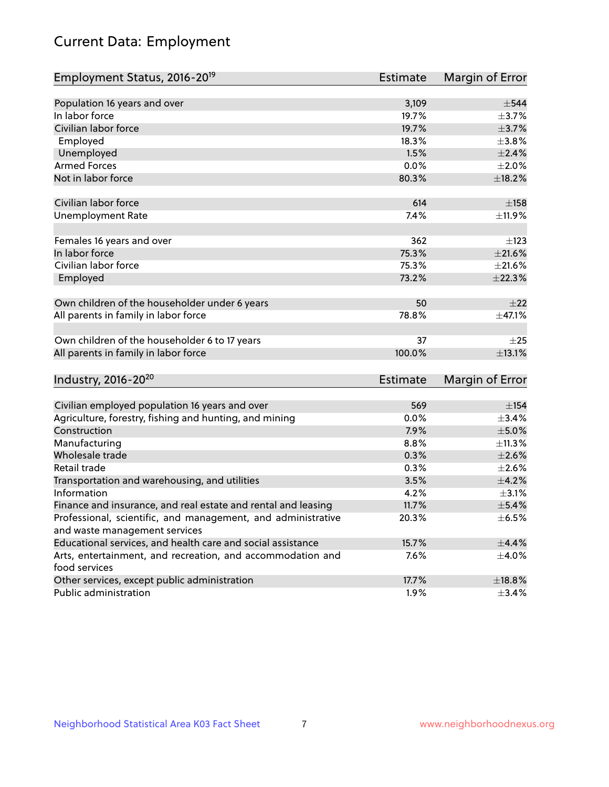# Current Data: Employment

| Employment Status, 2016-20 <sup>19</sup>                                    | Estimate | Margin of Error |
|-----------------------------------------------------------------------------|----------|-----------------|
|                                                                             |          |                 |
| Population 16 years and over                                                | 3,109    | $\pm$ 544       |
| In labor force                                                              | 19.7%    | $\pm$ 3.7%      |
| Civilian labor force                                                        | 19.7%    | $\pm$ 3.7%      |
| Employed                                                                    | 18.3%    | ±3.8%           |
| Unemployed                                                                  | 1.5%     | $\pm 2.4\%$     |
| <b>Armed Forces</b>                                                         | 0.0%     | $\pm 2.0\%$     |
| Not in labor force                                                          | 80.3%    | ±18.2%          |
|                                                                             |          |                 |
| Civilian labor force                                                        | 614      | $\pm$ 158       |
| <b>Unemployment Rate</b>                                                    | 7.4%     | ±11.9%          |
| Females 16 years and over                                                   | 362      | $\pm$ 123       |
| In labor force                                                              | 75.3%    | $\pm 21.6\%$    |
| Civilian labor force                                                        | 75.3%    | $\pm 21.6\%$    |
| Employed                                                                    | 73.2%    | ±22.3%          |
|                                                                             |          |                 |
| Own children of the householder under 6 years                               | 50       | $\pm 22$        |
| All parents in family in labor force                                        | 78.8%    | ±47.1%          |
| Own children of the householder 6 to 17 years                               | 37       | $\pm 25$        |
| All parents in family in labor force                                        | 100.0%   | ±13.1%          |
|                                                                             |          |                 |
| Industry, 2016-20 <sup>20</sup>                                             | Estimate | Margin of Error |
|                                                                             |          |                 |
| Civilian employed population 16 years and over                              | 569      | $\pm$ 154       |
| Agriculture, forestry, fishing and hunting, and mining                      | 0.0%     | ±3.4%           |
| Construction                                                                | 7.9%     | $\pm$ 5.0%      |
| Manufacturing                                                               | 8.8%     | ±11.3%          |
| Wholesale trade                                                             | 0.3%     | $\pm 2.6\%$     |
| Retail trade                                                                | 0.3%     | $\pm 2.6\%$     |
| Transportation and warehousing, and utilities                               | 3.5%     | $\pm$ 4.2%      |
| Information                                                                 | 4.2%     | $\pm$ 3.1%      |
| Finance and insurance, and real estate and rental and leasing               | 11.7%    | $\pm$ 5.4%      |
| Professional, scientific, and management, and administrative                | 20.3%    | $\pm$ 6.5%      |
| and waste management services                                               |          |                 |
| Educational services, and health care and social assistance                 | 15.7%    | $\pm$ 4.4%      |
| Arts, entertainment, and recreation, and accommodation and<br>food services | 7.6%     | $\pm$ 4.0%      |
| Other services, except public administration                                | 17.7%    | ±18.8%          |
| Public administration                                                       | 1.9%     | $\pm$ 3.4%      |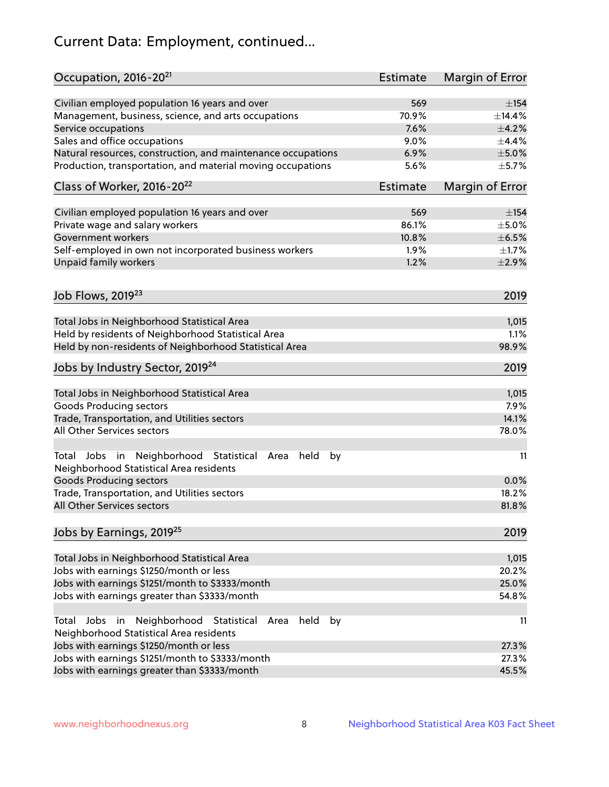# Current Data: Employment, continued...

| Occupation, 2016-20 <sup>21</sup>                                                                       | Estimate        | Margin of Error |
|---------------------------------------------------------------------------------------------------------|-----------------|-----------------|
| Civilian employed population 16 years and over                                                          | 569             | $\pm$ 154       |
| Management, business, science, and arts occupations                                                     | 70.9%           | ±14.4%          |
| Service occupations                                                                                     | 7.6%            | $\pm$ 4.2%      |
| Sales and office occupations                                                                            | 9.0%            | $\pm$ 4.4%      |
| Natural resources, construction, and maintenance occupations                                            | 6.9%            | $\pm$ 5.0%      |
| Production, transportation, and material moving occupations                                             | 5.6%            | $\pm$ 5.7%      |
| Class of Worker, 2016-20 <sup>22</sup>                                                                  | <b>Estimate</b> | Margin of Error |
| Civilian employed population 16 years and over                                                          | 569             | $\pm$ 154       |
| Private wage and salary workers                                                                         | 86.1%           | $\pm$ 5.0%      |
| Government workers                                                                                      | 10.8%           | $\pm$ 6.5%      |
| Self-employed in own not incorporated business workers                                                  | 1.9%            | $\pm 1.7\%$     |
| Unpaid family workers                                                                                   | 1.2%            | $\pm 2.9\%$     |
|                                                                                                         |                 |                 |
| Job Flows, 2019 <sup>23</sup>                                                                           |                 | 2019            |
| Total Jobs in Neighborhood Statistical Area                                                             |                 | 1,015           |
| Held by residents of Neighborhood Statistical Area                                                      |                 | 1.1%            |
| Held by non-residents of Neighborhood Statistical Area                                                  |                 | 98.9%           |
| Jobs by Industry Sector, 2019 <sup>24</sup>                                                             |                 | 2019            |
| Total Jobs in Neighborhood Statistical Area                                                             |                 | 1,015           |
| <b>Goods Producing sectors</b>                                                                          |                 | 7.9%            |
| Trade, Transportation, and Utilities sectors                                                            |                 | 14.1%           |
| All Other Services sectors                                                                              |                 | 78.0%           |
| Total Jobs in Neighborhood Statistical<br>held<br>by<br>Area<br>Neighborhood Statistical Area residents |                 | 11              |
| <b>Goods Producing sectors</b>                                                                          |                 | 0.0%            |
| Trade, Transportation, and Utilities sectors                                                            |                 | 18.2%           |
| All Other Services sectors                                                                              |                 | 81.8%           |
| Jobs by Earnings, 2019 <sup>25</sup>                                                                    |                 | 2019            |
| Total Jobs in Neighborhood Statistical Area                                                             |                 | 1,015           |
| Jobs with earnings \$1250/month or less                                                                 |                 | 20.2%           |
| Jobs with earnings \$1251/month to \$3333/month                                                         |                 | 25.0%           |
| Jobs with earnings greater than \$3333/month                                                            |                 | 54.8%           |
| Neighborhood Statistical<br>Jobs<br>in<br>held<br>by<br>Total<br>Area                                   |                 | 11              |
| Neighborhood Statistical Area residents                                                                 |                 |                 |
| Jobs with earnings \$1250/month or less                                                                 |                 | 27.3%           |
| Jobs with earnings \$1251/month to \$3333/month                                                         |                 | 27.3%           |
| Jobs with earnings greater than \$3333/month                                                            |                 | 45.5%           |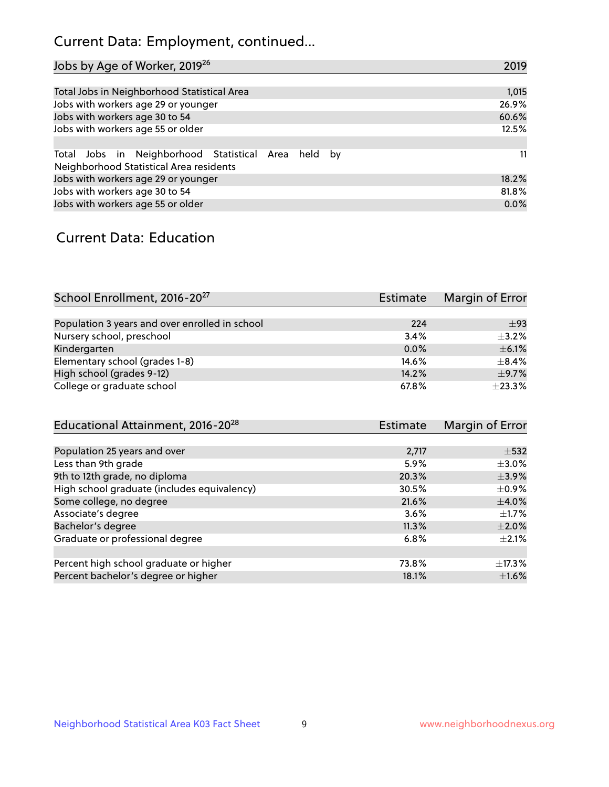# Current Data: Employment, continued...

| Jobs by Age of Worker, 2019 <sup>26</sup>                                                      | 2019  |
|------------------------------------------------------------------------------------------------|-------|
|                                                                                                |       |
| Total Jobs in Neighborhood Statistical Area                                                    | 1,015 |
| Jobs with workers age 29 or younger                                                            | 26.9% |
| Jobs with workers age 30 to 54                                                                 | 60.6% |
| Jobs with workers age 55 or older                                                              | 12.5% |
|                                                                                                |       |
| Total Jobs in Neighborhood Statistical Area held by<br>Neighborhood Statistical Area residents | 11    |
| Jobs with workers age 29 or younger                                                            | 18.2% |
| Jobs with workers age 30 to 54                                                                 | 81.8% |
| Jobs with workers age 55 or older                                                              | 0.0%  |

### Current Data: Education

| School Enrollment, 2016-20 <sup>27</sup>       | Estimate | Margin of Error |
|------------------------------------------------|----------|-----------------|
|                                                |          |                 |
| Population 3 years and over enrolled in school | 224      | $\pm$ 93        |
| Nursery school, preschool                      | 3.4%     | $+3.2%$         |
| Kindergarten                                   | 0.0%     | $\pm$ 6.1%      |
| Elementary school (grades 1-8)                 | 14.6%    | $+8.4%$         |
| High school (grades 9-12)                      | 14.2%    | $\pm$ 9.7%      |
| College or graduate school                     | 67.8%    | ±23.3%          |

| Educational Attainment, 2016-20 <sup>28</sup> | Estimate | Margin of Error |
|-----------------------------------------------|----------|-----------------|
|                                               |          |                 |
| Population 25 years and over                  | 2,717    | $\pm$ 532       |
| Less than 9th grade                           | 5.9%     | $\pm$ 3.0%      |
| 9th to 12th grade, no diploma                 | 20.3%    | $\pm$ 3.9%      |
| High school graduate (includes equivalency)   | 30.5%    | $\pm$ 0.9%      |
| Some college, no degree                       | 21.6%    | $\pm 4.0\%$     |
| Associate's degree                            | 3.6%     | $\pm$ 1.7%      |
| Bachelor's degree                             | 11.3%    | $\pm 2.0\%$     |
| Graduate or professional degree               | 6.8%     | $+2.1%$         |
|                                               |          |                 |
| Percent high school graduate or higher        | 73.8%    | $\pm$ 17.3%     |
| Percent bachelor's degree or higher           | 18.1%    | $\pm1.6\%$      |
|                                               |          |                 |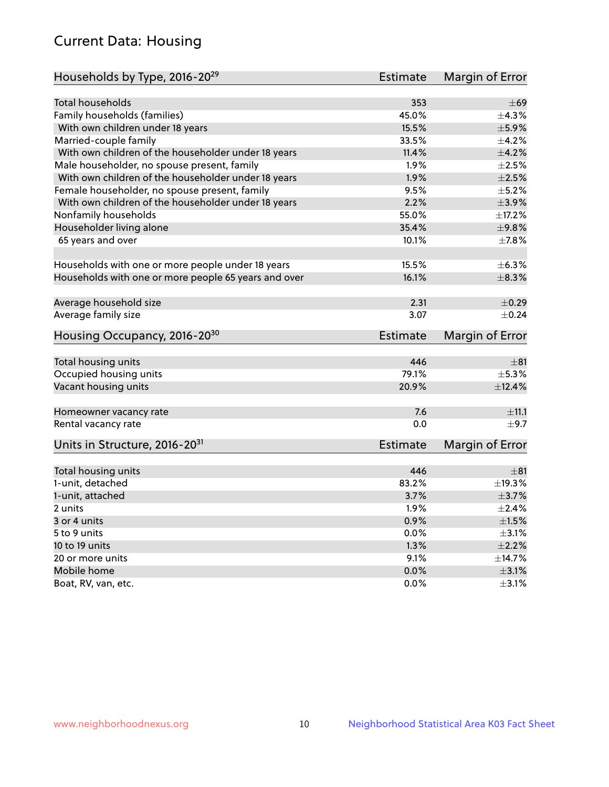# Current Data: Housing

| Households by Type, 2016-20 <sup>29</sup>            | <b>Estimate</b> | Margin of Error |
|------------------------------------------------------|-----------------|-----------------|
|                                                      |                 |                 |
| Total households                                     | 353             | $\pm 69$        |
| Family households (families)                         | 45.0%           | $+4.3%$         |
| With own children under 18 years                     | 15.5%           | $\pm$ 5.9%      |
| Married-couple family                                | 33.5%           | $\pm$ 4.2%      |
| With own children of the householder under 18 years  | 11.4%           | $\pm 4.2\%$     |
| Male householder, no spouse present, family          | 1.9%            | $\pm 2.5\%$     |
| With own children of the householder under 18 years  | 1.9%            | $\pm 2.5\%$     |
| Female householder, no spouse present, family        | 9.5%            | $\pm$ 5.2%      |
| With own children of the householder under 18 years  | 2.2%            | $\pm$ 3.9%      |
| Nonfamily households                                 | 55.0%           | ±17.2%          |
| Householder living alone                             | 35.4%           | ±9.8%           |
| 65 years and over                                    | 10.1%           | $\pm$ 7.8%      |
|                                                      |                 |                 |
| Households with one or more people under 18 years    | 15.5%           | $\pm$ 6.3%      |
| Households with one or more people 65 years and over | 16.1%           | ±8.3%           |
|                                                      |                 |                 |
| Average household size                               | 2.31            | $\pm$ 0.29      |
| Average family size                                  | 3.07            | $\pm$ 0.24      |
| Housing Occupancy, 2016-20 <sup>30</sup>             | <b>Estimate</b> | Margin of Error |
|                                                      |                 |                 |
| Total housing units                                  | 446             | $\pm$ 81        |
| Occupied housing units                               | 79.1%           | $\pm$ 5.3%      |
| Vacant housing units                                 | 20.9%           | $\pm$ 12.4%     |
|                                                      | 7.6             | ±11.1           |
| Homeowner vacancy rate<br>Rental vacancy rate        | 0.0             | ±9.7            |
|                                                      |                 |                 |
| Units in Structure, 2016-20 <sup>31</sup>            | Estimate        | Margin of Error |
|                                                      |                 |                 |
| Total housing units                                  | 446             | $\pm$ 81        |
| 1-unit, detached                                     | 83.2%           | ±19.3%          |
| 1-unit, attached                                     | 3.7%            | $\pm$ 3.7%      |
| 2 units                                              | 1.9%            | $\pm 2.4\%$     |
| 3 or 4 units                                         | 0.9%            | $\pm1.5\%$      |
| 5 to 9 units                                         | 0.0%            | $\pm$ 3.1%      |
| 10 to 19 units                                       | 1.3%            | $\pm 2.2\%$     |
| 20 or more units                                     | 9.1%            | ±14.7%          |
| Mobile home                                          | 0.0%            | $\pm$ 3.1%      |
| Boat, RV, van, etc.                                  | $0.0\%$         | $\pm$ 3.1%      |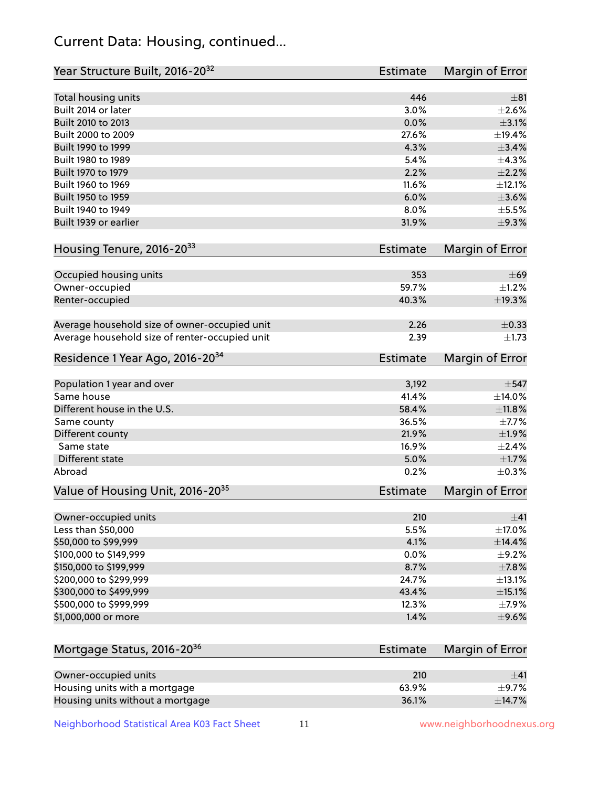# Current Data: Housing, continued...

| Year Structure Built, 2016-20 <sup>32</sup>    | <b>Estimate</b> | Margin of Error |
|------------------------------------------------|-----------------|-----------------|
| Total housing units                            | 446             | ±81             |
| Built 2014 or later                            | 3.0%            | $\pm 2.6\%$     |
| Built 2010 to 2013                             | 0.0%            | $\pm$ 3.1%      |
| Built 2000 to 2009                             | 27.6%           | ±19.4%          |
| Built 1990 to 1999                             | 4.3%            | $\pm$ 3.4%      |
| Built 1980 to 1989                             | 5.4%            | ±4.3%           |
| Built 1970 to 1979                             | 2.2%            | $\pm 2.2\%$     |
| Built 1960 to 1969                             | 11.6%           | ±12.1%          |
| Built 1950 to 1959                             | 6.0%            | $\pm 3.6\%$     |
| Built 1940 to 1949                             | 8.0%            | $\pm$ 5.5%      |
| Built 1939 or earlier                          | 31.9%           | ±9.3%           |
| Housing Tenure, 2016-2033                      | Estimate        | Margin of Error |
| Occupied housing units                         | 353             | $\pm 69$        |
| Owner-occupied                                 | 59.7%           | $\pm$ 1.2%      |
| Renter-occupied                                | 40.3%           | ±19.3%          |
| Average household size of owner-occupied unit  | 2.26            | $\pm$ 0.33      |
| Average household size of renter-occupied unit | 2.39            | $\pm 1.73$      |
| Residence 1 Year Ago, 2016-20 <sup>34</sup>    | Estimate        | Margin of Error |
| Population 1 year and over                     | 3,192           | $\pm$ 547       |
| Same house                                     | 41.4%           | ±14.0%          |
| Different house in the U.S.                    | 58.4%           | ±11.8%          |
| Same county                                    | 36.5%           | $\pm$ 7.7%      |
| Different county                               | 21.9%           | ±1.9%           |
| Same state                                     | 16.9%           | $\pm 2.4\%$     |
| Different state                                | 5.0%            | $\pm1.7\%$      |
| Abroad                                         | 0.2%            | $\pm$ 0.3%      |
| Value of Housing Unit, 2016-20 <sup>35</sup>   | <b>Estimate</b> | Margin of Error |
| Owner-occupied units                           | 210             | ±41             |
| Less than \$50,000                             | 5.5%            | ±17.0%          |
| \$50,000 to \$99,999                           | 4.1%            | ±14.4%          |
| \$100,000 to \$149,999                         | 0.0%            | $\pm$ 9.2%      |
| \$150,000 to \$199,999                         | 8.7%            | $\pm$ 7.8%      |
| \$200,000 to \$299,999                         | 24.7%           | ±13.1%          |
| \$300,000 to \$499,999                         | 43.4%           | $\pm$ 15.1%     |
| \$500,000 to \$999,999                         | 12.3%           | $\pm$ 7.9%      |
| \$1,000,000 or more                            | 1.4%            | $\pm$ 9.6%      |
| Mortgage Status, 2016-20 <sup>36</sup>         | <b>Estimate</b> | Margin of Error |
| Owner-occupied units                           | 210             | ±41             |
| Housing units with a mortgage                  | 63.9%           | $\pm$ 9.7%      |

Neighborhood Statistical Area K03 Fact Sheet 11 11 www.neighborhoodnexus.org

Housing units without a mortgage  $\pm 14.7\%$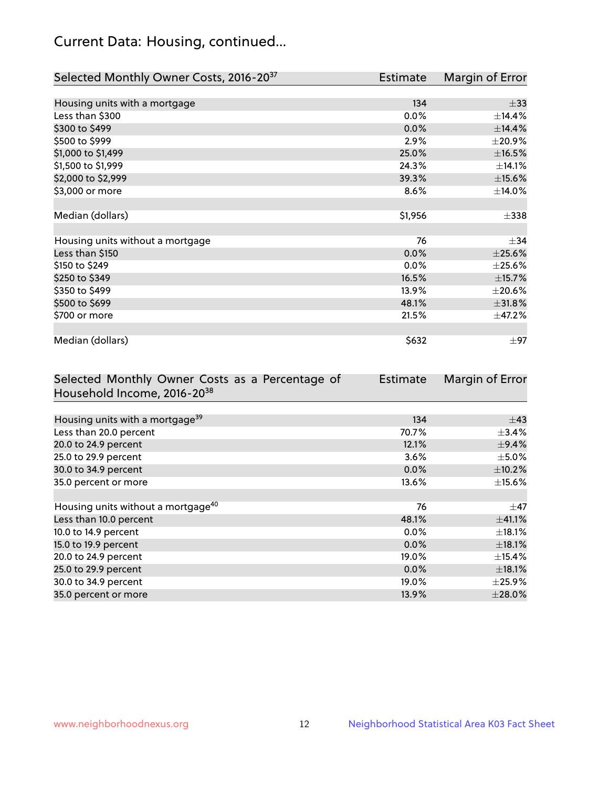# Current Data: Housing, continued...

| Selected Monthly Owner Costs, 2016-20 <sup>37</sup> | Estimate | Margin of Error |
|-----------------------------------------------------|----------|-----------------|
|                                                     |          |                 |
| Housing units with a mortgage                       | 134      | $\pm$ 33        |
| Less than \$300                                     | 0.0%     | ±14.4%          |
| \$300 to \$499                                      | 0.0%     | ±14.4%          |
| \$500 to \$999                                      | 2.9%     | ±20.9%          |
| \$1,000 to \$1,499                                  | 25.0%    | $\pm$ 16.5%     |
| \$1,500 to \$1,999                                  | 24.3%    | ±14.1%          |
| \$2,000 to \$2,999                                  | 39.3%    | $\pm$ 15.6%     |
| \$3,000 or more                                     | 8.6%     | ±14.0%          |
|                                                     |          |                 |
| Median (dollars)                                    | \$1,956  | $\pm$ 338       |
|                                                     |          |                 |
| Housing units without a mortgage                    | 76       | $\pm$ 34        |
| Less than \$150                                     | 0.0%     | $\pm 25.6\%$    |
| \$150 to \$249                                      | 0.0%     | $\pm 25.6\%$    |
| \$250 to \$349                                      | 16.5%    | ±15.7%          |
| \$350 to \$499                                      | 13.9%    | $\pm 20.6\%$    |
| \$500 to \$699                                      | 48.1%    | ±31.8%          |
| \$700 or more                                       | 21.5%    | ±47.2%          |
|                                                     |          |                 |
| Median (dollars)                                    | \$632    | $\pm 97$        |

| Selected Monthly Owner Costs as a Percentage of | Estimate | Margin of Error |
|-------------------------------------------------|----------|-----------------|
| Household Income, 2016-20 <sup>38</sup>         |          |                 |
|                                                 |          |                 |
| Housing units with a mortgage <sup>39</sup>     | 134      | $\pm$ 43        |
| Less than 20.0 percent                          | 70.7%    | $\pm$ 3.4%      |
| 20.0 to 24.9 percent                            | 12.1%    | $\pm$ 9.4%      |
| 25.0 to 29.9 percent                            | 3.6%     | $\pm$ 5.0%      |
| 30.0 to 34.9 percent                            | 0.0%     | $\pm$ 10.2%     |
| 35.0 percent or more                            | 13.6%    | $\pm$ 15.6%     |
|                                                 |          |                 |
| Housing units without a mortgage <sup>40</sup>  | 76       | $\pm$ 47        |
| Less than 10.0 percent                          | 48.1%    | $\pm$ 41.1%     |
| 10.0 to 14.9 percent                            | $0.0\%$  | $\pm$ 18.1%     |
| 15.0 to 19.9 percent                            | $0.0\%$  | $\pm$ 18.1%     |
| 20.0 to 24.9 percent                            | 19.0%    | $\pm$ 15.4%     |
| 25.0 to 29.9 percent                            | 0.0%     | $\pm$ 18.1%     |
| 30.0 to 34.9 percent                            | 19.0%    | $\pm$ 25.9%     |
| 35.0 percent or more                            | 13.9%    | $\pm 28.0\%$    |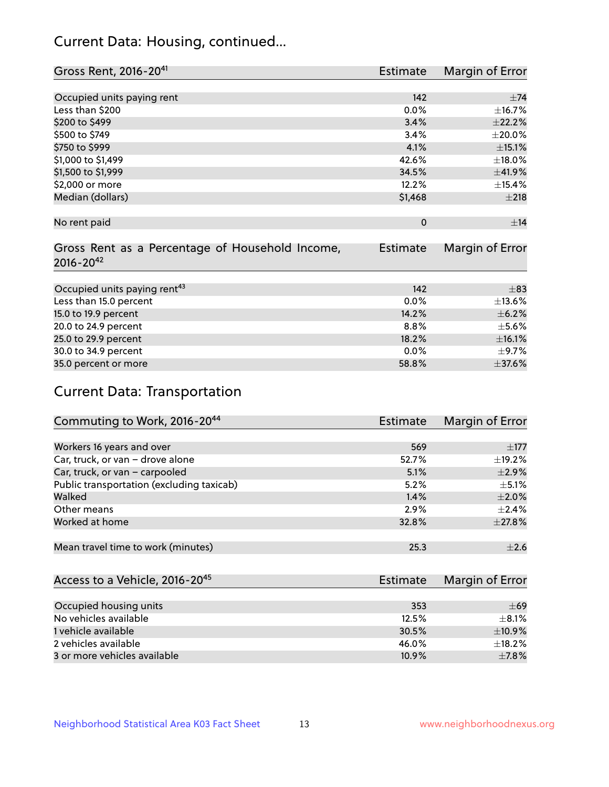# Current Data: Housing, continued...

| Gross Rent, 2016-20 <sup>41</sup>               | <b>Estimate</b> | Margin of Error |
|-------------------------------------------------|-----------------|-----------------|
|                                                 |                 |                 |
| Occupied units paying rent                      | 142             | $\pm$ 74        |
| Less than \$200                                 | 0.0%            | ±16.7%          |
| \$200 to \$499                                  | 3.4%            | ±22.2%          |
| \$500 to \$749                                  | 3.4%            | $\pm 20.0\%$    |
| \$750 to \$999                                  | 4.1%            | $\pm$ 15.1%     |
| \$1,000 to \$1,499                              | 42.6%           | ±18.0%          |
| \$1,500 to \$1,999                              | 34.5%           | ±41.9%          |
| \$2,000 or more                                 | 12.2%           | ±15.4%          |
| Median (dollars)                                | \$1,468         | ±218            |
|                                                 |                 |                 |
| No rent paid                                    | $\mathbf 0$     | ±14             |
|                                                 |                 |                 |
| Gross Rent as a Percentage of Household Income, | Estimate        | Margin of Error |
| $2016 - 20^{42}$                                |                 |                 |
|                                                 |                 |                 |
| Occupied units paying rent <sup>43</sup>        | 142             | $\pm$ 83        |
| Less than 15.0 percent                          | 0.0%            | ±13.6%          |
| 15.0 to 19.9 percent                            | 14.2%           | $\pm$ 6.2%      |
| 20.0 to 24.9 percent                            | 8.8%            | $\pm$ 5.6%      |
| 25.0 to 29.9 percent                            | 18.2%           | ±16.1%          |
| 30.0 to 34.9 percent                            | 0.0%            | $\pm$ 9.7%      |
| 35.0 percent or more                            | 58.8%           | ±37.6%          |

# Current Data: Transportation

| Commuting to Work, 2016-20 <sup>44</sup>  | <b>Estimate</b> | Margin of Error |
|-------------------------------------------|-----------------|-----------------|
|                                           |                 |                 |
| Workers 16 years and over                 | 569             | $\pm 177$       |
| Car, truck, or van - drove alone          | 52.7%           | $\pm$ 19.2%     |
| Car, truck, or van - carpooled            | 5.1%            | $\pm 2.9\%$     |
| Public transportation (excluding taxicab) | 5.2%            | $+5.1%$         |
| Walked                                    | 1.4%            | $\pm 2.0\%$     |
| Other means                               | 2.9%            | $\pm 2.4\%$     |
| Worked at home                            | 32.8%           | ±27.8%          |
|                                           |                 |                 |
| Mean travel time to work (minutes)        | 25.3            | $\pm 2.6$       |

| Access to a Vehicle, 2016-20 <sup>45</sup> | Estimate | Margin of Error |
|--------------------------------------------|----------|-----------------|
|                                            |          |                 |
| Occupied housing units                     | 353      | $\pm 69$        |
| No vehicles available                      | 12.5%    | $+8.1%$         |
| 1 vehicle available                        | 30.5%    | ±10.9%          |
| 2 vehicles available                       | 46.0%    | $+18.2%$        |
| 3 or more vehicles available               | 10.9%    | $\pm$ 7.8%      |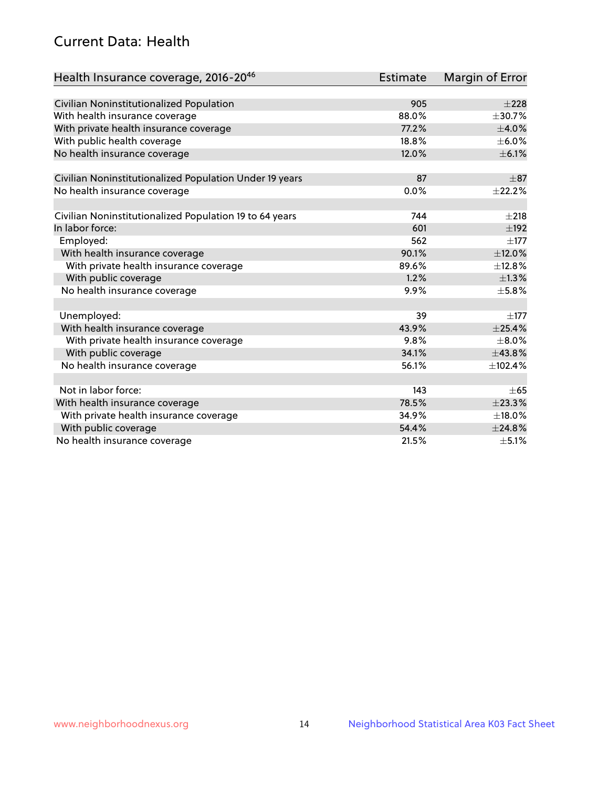# Current Data: Health

| Health Insurance coverage, 2016-2046                    | <b>Estimate</b> | Margin of Error |
|---------------------------------------------------------|-----------------|-----------------|
|                                                         |                 |                 |
| Civilian Noninstitutionalized Population                | 905             | $\pm 228$       |
| With health insurance coverage                          | 88.0%           | $\pm$ 30.7%     |
| With private health insurance coverage                  | 77.2%           | $\pm$ 4.0%      |
| With public health coverage                             | 18.8%           | $\pm$ 6.0%      |
| No health insurance coverage                            | 12.0%           | $\pm$ 6.1%      |
| Civilian Noninstitutionalized Population Under 19 years | 87              | $\pm$ 87        |
| No health insurance coverage                            | 0.0%            | ±22.2%          |
|                                                         |                 |                 |
| Civilian Noninstitutionalized Population 19 to 64 years | 744             | $\pm 218$       |
| In labor force:                                         | 601             | $+192$          |
| Employed:                                               | 562             | $\pm$ 177       |
| With health insurance coverage                          | 90.1%           | ±12.0%          |
| With private health insurance coverage                  | 89.6%           | ±12.8%          |
| With public coverage                                    | 1.2%            | ±1.3%           |
| No health insurance coverage                            | 9.9%            | ±5.8%           |
|                                                         |                 |                 |
| Unemployed:                                             | 39              | $\pm$ 177       |
| With health insurance coverage                          | 43.9%           | ±25.4%          |
| With private health insurance coverage                  | 9.8%            | $\pm$ 8.0%      |
| With public coverage                                    | 34.1%           | ±43.8%          |
| No health insurance coverage                            | 56.1%           | ±102.4%         |
|                                                         |                 |                 |
| Not in labor force:                                     | 143             | $\pm 65$        |
| With health insurance coverage                          | 78.5%           | ±23.3%          |
| With private health insurance coverage                  | 34.9%           | ±18.0%          |
| With public coverage                                    | 54.4%           | ±24.8%          |
| No health insurance coverage                            | 21.5%           | $\pm$ 5.1%      |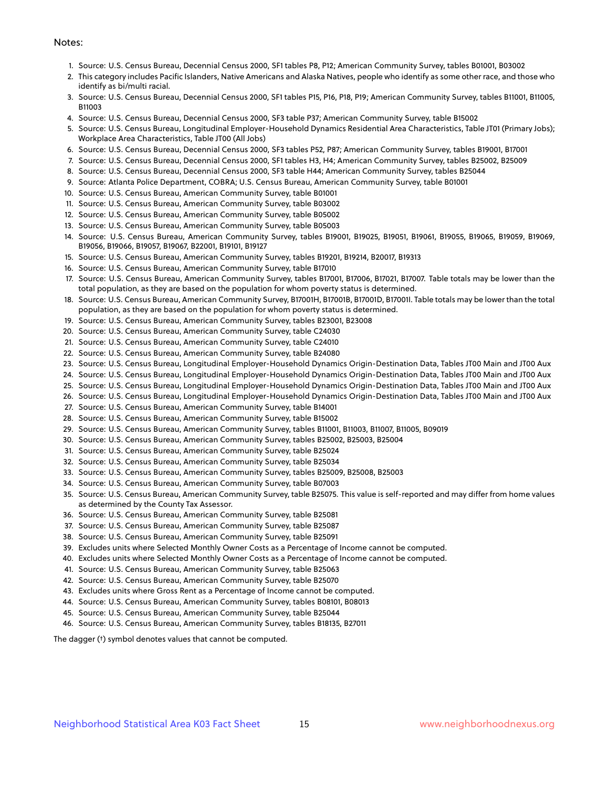#### Notes:

- 1. Source: U.S. Census Bureau, Decennial Census 2000, SF1 tables P8, P12; American Community Survey, tables B01001, B03002
- 2. This category includes Pacific Islanders, Native Americans and Alaska Natives, people who identify as some other race, and those who identify as bi/multi racial.
- 3. Source: U.S. Census Bureau, Decennial Census 2000, SF1 tables P15, P16, P18, P19; American Community Survey, tables B11001, B11005, B11003
- 4. Source: U.S. Census Bureau, Decennial Census 2000, SF3 table P37; American Community Survey, table B15002
- 5. Source: U.S. Census Bureau, Longitudinal Employer-Household Dynamics Residential Area Characteristics, Table JT01 (Primary Jobs); Workplace Area Characteristics, Table JT00 (All Jobs)
- 6. Source: U.S. Census Bureau, Decennial Census 2000, SF3 tables P52, P87; American Community Survey, tables B19001, B17001
- 7. Source: U.S. Census Bureau, Decennial Census 2000, SF1 tables H3, H4; American Community Survey, tables B25002, B25009
- 8. Source: U.S. Census Bureau, Decennial Census 2000, SF3 table H44; American Community Survey, tables B25044
- 9. Source: Atlanta Police Department, COBRA; U.S. Census Bureau, American Community Survey, table B01001
- 10. Source: U.S. Census Bureau, American Community Survey, table B01001
- 11. Source: U.S. Census Bureau, American Community Survey, table B03002
- 12. Source: U.S. Census Bureau, American Community Survey, table B05002
- 13. Source: U.S. Census Bureau, American Community Survey, table B05003
- 14. Source: U.S. Census Bureau, American Community Survey, tables B19001, B19025, B19051, B19061, B19055, B19065, B19059, B19069, B19056, B19066, B19057, B19067, B22001, B19101, B19127
- 15. Source: U.S. Census Bureau, American Community Survey, tables B19201, B19214, B20017, B19313
- 16. Source: U.S. Census Bureau, American Community Survey, table B17010
- 17. Source: U.S. Census Bureau, American Community Survey, tables B17001, B17006, B17021, B17007. Table totals may be lower than the total population, as they are based on the population for whom poverty status is determined.
- 18. Source: U.S. Census Bureau, American Community Survey, B17001H, B17001B, B17001D, B17001I. Table totals may be lower than the total population, as they are based on the population for whom poverty status is determined.
- 19. Source: U.S. Census Bureau, American Community Survey, tables B23001, B23008
- 20. Source: U.S. Census Bureau, American Community Survey, table C24030
- 21. Source: U.S. Census Bureau, American Community Survey, table C24010
- 22. Source: U.S. Census Bureau, American Community Survey, table B24080
- 23. Source: U.S. Census Bureau, Longitudinal Employer-Household Dynamics Origin-Destination Data, Tables JT00 Main and JT00 Aux
- 24. Source: U.S. Census Bureau, Longitudinal Employer-Household Dynamics Origin-Destination Data, Tables JT00 Main and JT00 Aux
- 25. Source: U.S. Census Bureau, Longitudinal Employer-Household Dynamics Origin-Destination Data, Tables JT00 Main and JT00 Aux
- 26. Source: U.S. Census Bureau, Longitudinal Employer-Household Dynamics Origin-Destination Data, Tables JT00 Main and JT00 Aux
- 27. Source: U.S. Census Bureau, American Community Survey, table B14001
- 28. Source: U.S. Census Bureau, American Community Survey, table B15002
- 29. Source: U.S. Census Bureau, American Community Survey, tables B11001, B11003, B11007, B11005, B09019
- 30. Source: U.S. Census Bureau, American Community Survey, tables B25002, B25003, B25004
- 31. Source: U.S. Census Bureau, American Community Survey, table B25024
- 32. Source: U.S. Census Bureau, American Community Survey, table B25034
- 33. Source: U.S. Census Bureau, American Community Survey, tables B25009, B25008, B25003
- 34. Source: U.S. Census Bureau, American Community Survey, table B07003
- 35. Source: U.S. Census Bureau, American Community Survey, table B25075. This value is self-reported and may differ from home values as determined by the County Tax Assessor.
- 36. Source: U.S. Census Bureau, American Community Survey, table B25081
- 37. Source: U.S. Census Bureau, American Community Survey, table B25087
- 38. Source: U.S. Census Bureau, American Community Survey, table B25091
- 39. Excludes units where Selected Monthly Owner Costs as a Percentage of Income cannot be computed.
- 40. Excludes units where Selected Monthly Owner Costs as a Percentage of Income cannot be computed.
- 41. Source: U.S. Census Bureau, American Community Survey, table B25063
- 42. Source: U.S. Census Bureau, American Community Survey, table B25070
- 43. Excludes units where Gross Rent as a Percentage of Income cannot be computed.
- 44. Source: U.S. Census Bureau, American Community Survey, tables B08101, B08013
- 45. Source: U.S. Census Bureau, American Community Survey, table B25044
- 46. Source: U.S. Census Bureau, American Community Survey, tables B18135, B27011

The dagger (†) symbol denotes values that cannot be computed.